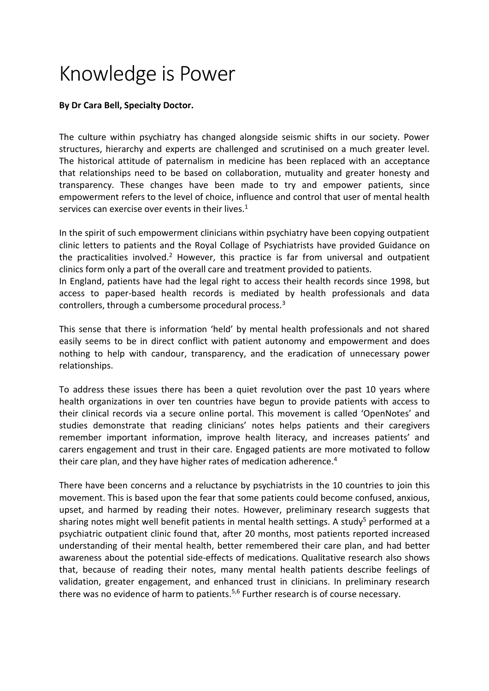## Knowledge is Power

## **By Dr Cara Bell, Specialty Doctor.**

The culture within psychiatry has changed alongside seismic shifts in our society. Power structures, hierarchy and experts are challenged and scrutinised on a much greater level. The historical attitude of paternalism in medicine has been replaced with an acceptance that relationships need to be based on collaboration, mutuality and greater honesty and transparency. These changes have been made to try and empower patients, since empowerment refers to the level of choice, influence and control that user of mental health services can exercise over events in their lives.<sup>1</sup>

In the spirit of such empowerment clinicians within psychiatry have been copying outpatient clinic letters to patients and the Royal Collage of Psychiatrists have provided Guidance on the practicalities involved.<sup>2</sup> However, this practice is far from universal and outpatient clinics form only a part of the overall care and treatment provided to patients.

In England, patients have had the legal right to access their health records since 1998, but access to paper-based health records is mediated by health professionals and data controllers, through a cumbersome procedural process.<sup>3</sup>

This sense that there is information 'held' by mental health professionals and not shared easily seems to be in direct conflict with patient autonomy and empowerment and does nothing to help with candour, transparency, and the eradication of unnecessary power relationships.

To address these issues there has been a quiet revolution over the past 10 years where health organizations in over ten countries have begun to provide patients with access to their clinical records via a secure online portal. This movement is called 'OpenNotes' and studies demonstrate that reading clinicians' notes helps patients and their caregivers remember important information, improve health literacy, and increases patients' and carers engagement and trust in their care. Engaged patients are more motivated to follow their care plan, and they have higher rates of medication adherence.<sup>4</sup>

There have been concerns and a reluctance by psychiatrists in the 10 countries to join this movement. This is based upon the fear that some patients could become confused, anxious, upset, and harmed by reading their notes. However, preliminary research suggests that sharing notes might well benefit patients in mental health settings. A study<sup>5</sup> performed at a psychiatric outpatient clinic found that, after 20 months, most patients reported increased understanding of their mental health, better remembered their care plan, and had better awareness about the potential side-effects of medications. Qualitative research also shows that, because of reading their notes, many mental health patients describe feelings of validation, greater engagement, and enhanced trust in clinicians. In preliminary research there was no evidence of harm to patients.<sup>5,6</sup> Further research is of course necessary.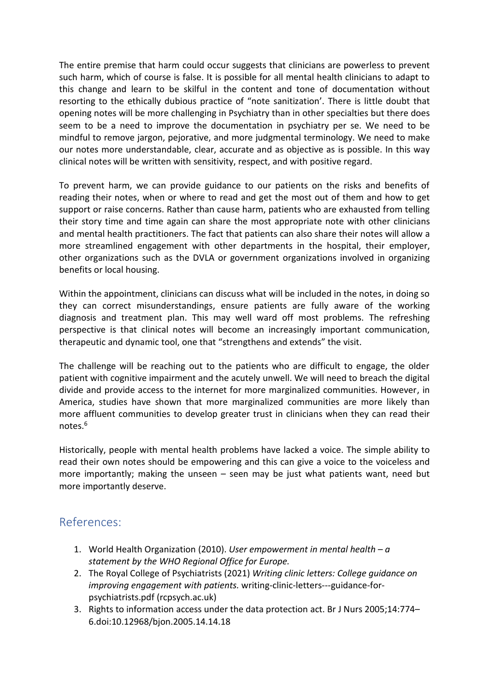The entire premise that harm could occur suggests that clinicians are powerless to prevent such harm, which of course is false. It is possible for all mental health clinicians to adapt to this change and learn to be skilful in the content and tone of documentation without resorting to the ethically dubious practice of "note sanitization'. There is little doubt that opening notes will be more challenging in Psychiatry than in other specialties but there does seem to be a need to improve the documentation in psychiatry per se. We need to be mindful to remove jargon, pejorative, and more judgmental terminology. We need to make our notes more understandable, clear, accurate and as objective as is possible. In this way clinical notes will be written with sensitivity, respect, and with positive regard.

To prevent harm, we can provide guidance to our patients on the risks and benefits of reading their notes, when or where to read and get the most out of them and how to get support or raise concerns. Rather than cause harm, patients who are exhausted from telling their story time and time again can share the most appropriate note with other clinicians and mental health practitioners. The fact that patients can also share their notes will allow a more streamlined engagement with other departments in the hospital, their employer, other organizations such as the DVLA or government organizations involved in organizing benefits or local housing.

Within the appointment, clinicians can discuss what will be included in the notes, in doing so they can correct misunderstandings, ensure patients are fully aware of the working diagnosis and treatment plan. This may well ward off most problems. The refreshing perspective is that clinical notes will become an increasingly important communication, therapeutic and dynamic tool, one that "strengthens and extends" the visit.

The challenge will be reaching out to the patients who are difficult to engage, the older patient with cognitive impairment and the acutely unwell. We will need to breach the digital divide and provide access to the internet for more marginalized communities. However, in America, studies have shown that more marginalized communities are more likely than more affluent communities to develop greater trust in clinicians when they can read their notes.<sup>6</sup>

Historically, people with mental health problems have lacked a voice. The simple ability to read their own notes should be empowering and this can give a voice to the voiceless and more importantly; making the unseen – seen may be just what patients want, need but more importantly deserve.

## References:

- 1. World Health Organization (2010). *User empowerment in mental health – a statement by the WHO Regional Office for Europe.*
- 2. The Royal College of Psychiatrists (2021) *Writing clinic letters: College guidance on improving engagement with patients.* writing-clinic-letters---guidance-forpsychiatrists.pdf (rcpsych.ac.uk)
- 3. Rights to information access under the data protection act. Br J Nurs 2005;14:774– 6.doi:10.12968/bjon.2005.14.14.18